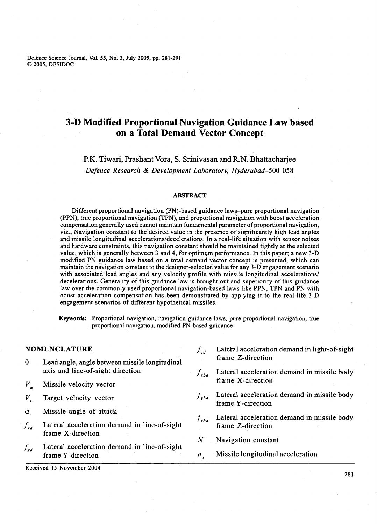Defence Science Journal, Vol. 55, No. 3, July 2005, pp. 281-291 O 2005, DESIDOC

# **3-D Modified Proportional Navigation Guidance Law based on a Total Demand Vector Concept**

## P.K. Tiwari, Prashant Vora, S. Srinivasan and R.N. Bhattacharjee *Defence Research* & *Development Laboratory, Hyderabad-500 058*

#### **ABSTRACT**

Different proportional navigation (PN)-based guidance laws-pure proportional navigation (PPN), true proportional navigation (TPN), and proportional navigation with boost acceleration compensation generally used cannot maintain fundamental parameter of proportional navigation, viz., Navigation constant to the desired value in the presence of significantly high lead angles and missile longitudinal **accelerations/decelerations.** In a real-life situation with sensor noises and hardware constraints, this navigation constant should be maintained tightly at the selected value, which is generally between 3 and 4, for optimum performance. In this paper; a new 3-D modified PN guidance law based on a total demand vector concept is presented, which can maintain the navigation constant to the designer-selected value for any 3-D engagement scenario with associated lead angles and any velocity profile with missile longitudinal accelerations/ decelerations. Generality of this guidance law is brought out and superiority of this guidance law over the commonly used proportional navigation-based laws like PPN, TPN and PN with boost acceleration compensation has been demonstrated by applying it to the real-life 3-D engagement scenarios of different hypothetical missiles.

Keywords: Proportional navigation, navigation guidance laws, pure proportional navigation, true proportional navigation, modified PN-based guidance

- frame Z-direction **8** Lead angle, angle between missile longitudinal axis and line-of-sight direction
- $V_m$  Missile velocity vector
- 
- $\alpha$  Missile angle of attack
- $f_{xd}$  Lateral acceleration demand in line-of-sight frame X-direction
- $f_{\nu d}$ Lateral acceleration demand in line-of-sight frame Y-direction **axists axis a** *a a* **Missile longitudinal acceleration**

Received 15 November 2004

- **NOMENCLATURE** *f<sub>rd</sub>* Lateral acceleration demand in light-of-sight
	- $f_{\text{xbd}}$  Lateral acceleration demand in missile body<br>frame X-direction
- $V$ , Target velocity vector  $f_{ybd}$  Lateral acceleration demand in missile body frame Y-direction
	- $f_{zbd}$  Lateral acceleration demand in missile body frame Z-direction
	- $N'$  Navigation constant
	-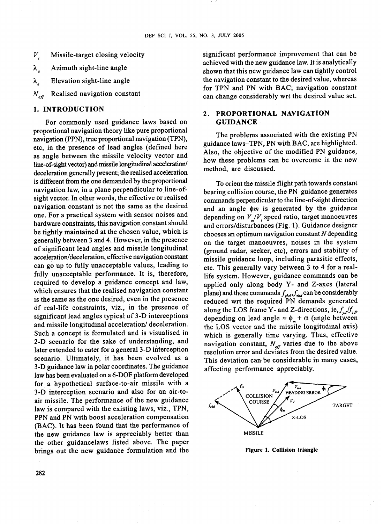- $V_c$  Missile-target closing velocity
- *All* Azimuth sight-line angle
- $λ$ <sub>z</sub> Elevation sight-line angle
- $N_{\textit{eff}}$ Realised navigation constant

For commonly used guidance laws based on **GUIDANCE**  proportional navigation theory like pure proportional navigation (PPN), true proportional navigation (TPN), etc, in the presence of lead angles (defined here as angle between the missile velocity vector and line-of-sight vector) and missile longitudinal acceleration/ deceleration generally present; the realised acceleration is different from the one demanded by the proportional navigation law, in a plane perpendicular to line-ofsight vector. In other words, the effective or realised navigation constant is not the same as the desired one. For a practical system with sensor noises and hardware constraints, this navigation constant should be tightly maintained at the chosen value, which is generally between 3 and 4. However, in the presence of significant lead angles and missile longitudinal **acceleration/deceleration,** effective navigation constant can go up to fully unacceptable values, leading to fully unacceptable performance. It is, therefore, required to develop a guidance concept and law, which ensures that the realised navigation constant is the same as the one desired, even in the presence of real-life constraints, viz., in the presence of significant lead angles typical of 3-D interceptions and missile longitudinal acceleration/ deceleration. Such a concept is formulated and is visualised in 2-D scenario for the sake of understanding, and later extended to cater for a general 3-D interception scenario. Ultimately, it has been evolved as a 3-D guidance law in polar coordinates. The guidance law has been evaluated on a 6-DOF platform developed for a hypothetical surface-to-air missile with a 3-D interception scenario and also for an air-toair missile. The performance of the new guidance law is compared with the existing laws, viz., TPN, PPN and PN with boost acceleration compensation (BAC). It has been found that the performance of the new guidance law is appreciably better than the other guidancelaws listed above. The paper brings out the new guidance formulation and the

significant performance improvement that can be achieved with the new guidance law. It is analytically shown that this new guidance law can tightly control the navigation constant to the desired value, whereas for TPN and PN with BAC; navigation constant can change considerably wrt the desired value set.

# **1. INTRODUCTION 2. PROPORTIONAL NAVIGATION**

The problems associated with the existing PN guidance laws-TPN, PN with BAC, are highlighted. Also, the objective of the modified PN guidance, how these problems can be overcome in the new method, are discussed.

To orient the missile flight path towards constant bearing collision course, the PN guidance generates commands perpendicular to the line-of-sight direction and an angle  $\phi$ m is generated by the guidance depending on  $V_{m}/V$ , speed ratio, target manoeuvres and errors/disturbances (Fig. 1). Guidance designer chooses an optimum navigation constant *N* depending on the target manoeuvres, noises in the system (ground radar, seeker, etc), errors and stability of missile guidance loop, including parasitic effects, etc. This generally vary between 3 to 4 for a reallife system. However, guidance commands can be applied only along body Y- and Z-axes (lateral plane) and those commands  $f_{\nu bd}$ ,  $f_{\nu bd}$  can be considerably reduced wrt the required PN demands generated along the LOS frame Y- and Z-directions, ie,  $f_{ud}/f_{ud}$ , depending on lead angle  $\approx \phi_m + \alpha$  (angle between the LOS vector and the missile longitudinal axis) which is generally time varying. Thus, effective navigation constant,  $N_{\text{eff}}$  varies due to the above resolution error and deviates from the desired value. This deviation can be considerable in many cases, affecting performance appreciably.



**Figure 1. Collision triangle**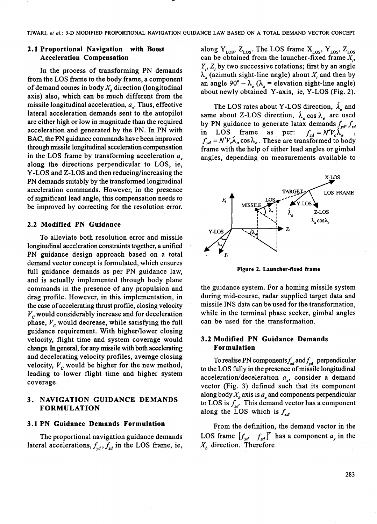### **2.1 Proportional Navigation with Boost Acceleration Compensation**

In the process of transforming PN demands from the LOS frame to the body frame, a component of demand comes in body  $X<sub>k</sub>$  direction (longitudinal axis) also, which can be much different from the missile longitudinal acceleration,  $a<sub>x</sub>$ . Thus, effective lateral acceleration demands sent to the autopilot are either high or low in magnitude than the required acceleration and generated by the PN. In PN with BAC, the PN guidance commands have been improved through missile longitudinal acceleration compensation in the LOS frame by transforming acceleration  $a_x$ along the directions perpendicular to LOS, ie, Y-LOS and Z-LOS and then reducing/increasing the PN demands suitably by the transformed longitudinal acceleration commands. However, in the presence of significant lead angle, this compensation needs to be improved by correcting for the resolution error.

#### **2.2 Modified PN Guidance**

To alleviate both resolution error and missile longitudinal acceleration constraints together, a unified PN guidance design approach based on a total demand vector concept is formulated, which ensures full guidance demands as per PN guidance law, and is actually implemented through body plane commands in the presence of any propulsion and drag profile. However, in this implementation, in the case of accelerating thrust profile, closing velocity  $V_c$  would considerably increase and for deceleration phase, *V,* would decrease, while satisfying the full guidance requirement. With higher/lower closing velocity, flight time and system coverage would change. In general, for any missile with both accelerating and decelerating velocity profiles, average closing velocity,  $V_c$  would be higher for the new method, leading to lower flight time and higher system coverage.

### **3. NAVIGATION GUIDANCE DEMANDS FORMULATION**

### **3.1 PN Guidance Demands Formulation**

The proportional navigation guidance demands lateral accelerations,  $f_{yd}$ ,  $f_{zd}$  in the LOS frame, ie, along  $Y_{LOS}$ ,  $Z_{LOS}$ . The LOS frame  $X_{LOS}$ ,  $Y_{LOS}$ ,  $Z_{LOS}$ can be obtained from the launcher-fixed frame  $X_i$ ,  $Y_i$ ,  $Z_i$  by two successive rotations; first by an angle  $\lambda_a$  (azimuth sight-line angle) about  $X_i$  and then by an angle  $90^{\circ} - \lambda_e$  ( $\lambda_e$  = elevation sight-line angle) about newly obtained Y-axis, ie, Y-LOS (Fig. 2).

The LOS rates about Y-LOS direction,  $\lambda_e$  and same about Z-LOS direction,  $\lambda_a \cos \lambda_e$  are used by PN guidance to generate latax demands  $f_{yd}$ ,  $f_{zd}$ <br>in LOS frame as per:  $f_{zd} = N'V_c \lambda_e$ , in LOS frame as per:  $f_{xd} = N'V_c\lambda_e$ ,  $f_{yd} = N'V_c \lambda_a \cos \lambda_e$ . These are transformed to body frame with the help of either lead angles or gimbal angles, depending on measurements available to



**Figure 2. Launcher-fixed frame** 

the guidance system. For a homing missile system during mid-course, radar supplied target data and missile INS data can be used for the transformation, while in the terminal phase seeker, gimbal angles can be used for the transformation.

### **3.2 Modified PN Guidance Demands Formulation**

To realise PN components  $f_{xd}$  and  $f_{yd}$  perpendicular to the LOS fully in the presence of missile longitudinal acceleration/deceleration a<sub>x</sub>, consider a demand vector (Fig. 3) defined such that its component along body  $X<sub>b</sub>$  axis is  $a<sub>x</sub>$  and components perpendicular to LOS is  $f_{\text{ad}}$ . This demand vector has a component along the LOS which is  $f_{xd}$ .

From the definition, the demand vector in the LOS frame  $\begin{bmatrix} f_{xd} & f_{zd} \end{bmatrix}^T$  has a component  $a_x$  in the  $X_b$  direction. Therefore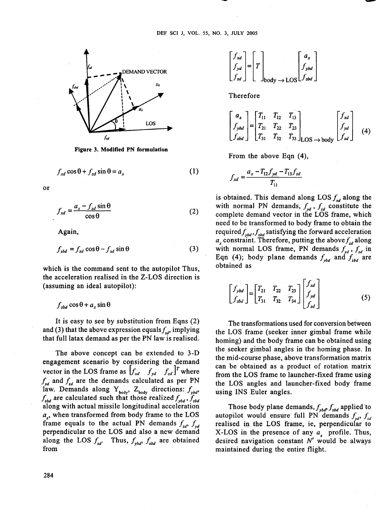

**Figure 3. Modified PN formulation** 

$$
f_{rd} \cos \theta + f_{rd} \sin \theta = a_r \tag{1}
$$

or

$$
f_{xd} = \frac{a_x - f_{zd} \sin \theta}{\cos \theta} \tag{2}
$$

Again,

$$
f_{zbd} = f_{zd} \cos \theta - f_{xd} \sin \theta \tag{3}
$$

which is the command sent to the autopilot Thus, the acceleration realised in the Z-LOS direction is (assuming an ideal autopilot):

 $f_{zbd}$  cos  $\theta$  +  $a_x$  sin  $\theta$ 

It is easy to see by substitution from Eqns (2) and (3) that the above expression equals  $f_{ad}$ , implying that full latax demand as per the PN law is realised.

The above concept can be extended to 3-D engagement scenario by considering the demand vector in the LOS frame as  $\int_{xd} f_{yd} f_{zd} \int^T$  where  $f_{vd}$  and  $f_{zd}$  are the demands calculated as per PN law. Demands along  $Y_{body}$ ,  $Z_{body}$  directions:  $f_{ybd}$ ,  $f_{\text{zbd}}$  are calculated such that those realized  $f_{\text{ybd}}$ ,  $f_{\text{zbd}}$ along with actual missile longitudinal acceleration  $a<sub>x</sub>$ , when transformed from body frame to the LOS frame equals to the actual PN demands  $f_{zd}$ ,  $f_{vd}$ perpendicular to the LOS and also a new demand along the LOS  $f_{xd}$ . Thus,  $f_{vbd}$ ,  $f_{zbd}$  are obtained from



Therefore

$$
\begin{bmatrix} a_{x} \\ f_{ybd} \\ f_{zbd} \end{bmatrix} = \begin{bmatrix} T_{11} & T_{12} & T_{13} \\ T_{21} & T_{22} & T_{23} \\ T_{31} & T_{32} & T_{33} \end{bmatrix}_{\text{LOS} \to \text{body}} \begin{bmatrix} f_{xd} \\ f_{yd} \\ f_{zd} \end{bmatrix}
$$
 (4)

From the above Eqn (4),

$$
f_{xd} = \frac{a_x - T_{12}f_{yd} - T_{13}f_{zd}}{T_{11}}
$$

is obtained. This demand along LOS  $f_{rd}$  along the with normal PN demands,  $f_{yd}$ ,  $f_{zd}$  constitute the complete demand vector in the LOS frame, which need to be transformed to body frame to obtain the required  $f_{ybd}$ ,  $f_{zbd}$  satisfying the forward acceleration  $a_x$  constraint. Therefore, putting the above  $f_{xd}$  along with normal LOS frame, PN demands  $f_{yd}$ ,  $f_{zd}$  in Eqn (4); body plane demands  $f_{\nu bd}$  and  $f_{\nu bd}$  are obtained as

$$
\begin{bmatrix} f_{ybd} \\ f_{zbd} \end{bmatrix} = \begin{bmatrix} T_{21} & T_{22} & T_{23} \\ T_{31} & T_{32} & T_{34} \end{bmatrix} \begin{bmatrix} f_{xd} \\ f_{yd} \\ f_{zd} \end{bmatrix}
$$
 (5)

The transformations used for conversion between the LOS frame (seeker inner gimbal frame while homing) and the body frame can be obtained using the seeker gimbal angles in the homing phase. In the mid-course phase, above transformation matrix can be obtained as a product of rotation matrix from the LOS frame to launcher-fixed frame using the LOS angles and launcher-fixed body frame using INS Euler angles.

Those body plane demands,  $f_{\nu bd} f_{\nu bd}$  applied to autopilot would ensure full PN demands  $f_{ud}$ ,  $f_{dd}$ realised in the LOS frame, ie, perpendicular to X-LOS in the presence of any  $a<sub>r</sub>$  profile. Thus, desired navigation constant  $N'$  would be always maintained during the entire flight.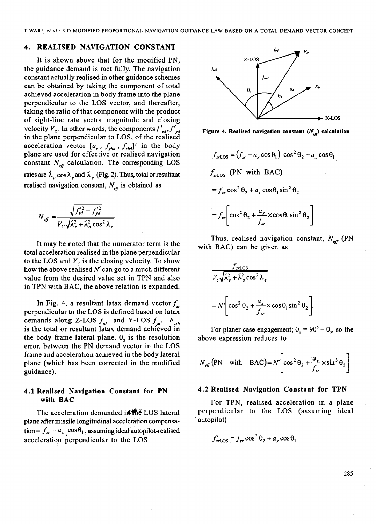TIWARI, **et** *al.:* 3-D MODIFIED PROPORTIONAL NAVIGATION GUIDANCE LAW BASED ON A TOTAL DEMAND VECTOR CONCEPT

#### **4. REALISED NAVIGATION CONSTANT**

It is shown above that for the modified PN, the guidance demand is met fully. The navigation constant actually realised in other guidance schemes can be obtained by taking the component of total achieved acceleration in body frame into the plane perpendicular to the LOS vector, and thereafter, taking the ratio of that component with the product of sight-line rate vector magnitude and closing velocity  $V_c$ . In other words, the components  $f'_{ad}$ ,  $f'_{bd}$  Figure 4. Realised navigation constant  $(N_{ab})$  calculation in the plane perpendicular to LOS, of the realised acceleration vector  $[a_x, f_{ybd}, f_{zbd}]^T$  in the body plane are used for effective or realised navigation  $f_{zr\text{LOS}} = (f_{zr} - a_x \cos \theta_1) \cos^2 \theta_2$ constant  $N_{\text{eff}}$  calculation. The corresponding LOS acceleration vector  $[a_x, f_{ybd}, f_{zbd}]^T$  in the body<br>plane are used for effective or realised navigation<br>constant  $N_{eff}$  calculation. The corresponding LOS<br>rates are  $\lambda_a \cos \lambda_e$  and  $\lambda_e$  (Fig. 2). Thus, total or resultant  $f$ realised navigation constant,  $N_{\text{eff}}$  is obtained as

$$
N_{\text{eff}} = \frac{\sqrt{f_{zd}^{\prime 2} + f_{yd}^{\prime 2}}}{V_C \sqrt{\lambda_e^2 + \lambda_a^2 \cos^2 \lambda_e}}
$$

total acceleration realised in the plane perpendicular to the LOS and  $V_c$  is the closing velocity. To show how the above realised  $N'$  can go to a much different value from the desired value set in TPN and also in TPN with BAC, the above relation is expanded.

In Fig. 4, a resultant latax demand vector  $f_{zr}$ perpendicular to the LOS is defined based on latax demands along Z-LOS  $f_{sd}$  and Y-LOS  $f_{sd}$ .  $F_{zrb}$ is the total or resultant latax demand achieved in the body frame lateral plane.  $\theta_2$  is the resolution error, between the PN demand vector in the LOS frame and acceleration achieved in the body lateral plane (which has been corrected in the modified guidance).

### **4.1 Realised Navigation Constant for PN with BAC**

The acceleration demanded is the LOS lateral plane after missile longitudinal acceleration compensation =  $f_{zr} - a_x \cos\theta_1$ , assuming ideal autopilot-realised acceleration perpendicular to the LOS



$$
f_{x \text{LOS}} = (f_{x} - a_x \cos \theta_1) \cos^2 \theta_2 + a_x \cos \theta_1
$$
  

$$
f_{x \text{LOS}} \text{ (PN with BAC)}
$$
  

$$
= f_{x} \cos^2 \theta_2 + a_x \cos \theta_1 \sin^2 \theta_2
$$
  

$$
= f_{x} \left[ \cos^2 \theta_2 + \frac{a_x}{f_{x}} \times \cos \theta_1 \sin^2 \theta_2 \right]
$$

It may be noted that the numerator term is the  $\frac{1}{1 + \frac{1}{1 + \frac{1}{1}} \pi}$  with BAC) can be given as

$$
\frac{f_{zr\text{LOS}}}{V_c\sqrt{\lambda_e^2 + \lambda_a^2 \cos^2 \lambda_e}}
$$
  
=  $N'\left[\cos^2 \theta_2 + \frac{a_x}{f_{zr}} \times \cos \theta_1 \sin^2 \theta_2\right]$ 

For planer case engagement;  $\theta_1 = 90^\circ - \theta_2$ , so the above expression reduces to

$$
N_{\text{eff}}(\text{PN} \text{ with } \text{BAC}) = N \left[ \cos^2 \theta_2 + \frac{a_x}{f_x} \times \sin^3 \theta_2 \right]
$$

#### **4.2 Realised Navigation Constant for TPN**

For TPN, realised acceleration in a plane perpendicular to the LOS (assuming ideal autopilot)

$$
f'_{zr\text{LOS}} = f_{zr}\cos^2\theta_2 + a_x\cos\theta_1
$$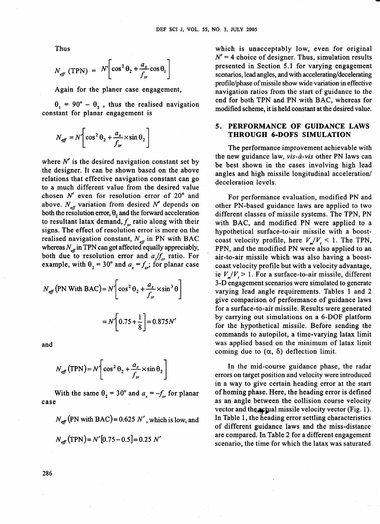Thus

$$
N_{\text{eff}} \text{ (TPN)} = N \left[ \cos^2 \theta_2 + \frac{a_x}{f_{\text{z}}} \cos \theta_1 \right]
$$

Again for the planer case engagement,

 $\theta_1 = 90^\circ - \theta_2$ , thus the realised navigation constant for planar engagement is

$$
N_{\text{eff}} = N \left[ \cos^2 \theta_2 + \frac{a_x}{f_x} \times \sin \theta_2 \right]
$$

where  $N'$  is the desired navigation constant set by the designer. It can be shown based on the above relations that effective navigation constant can go to a much different value from the desired value chosen  $N'$  even for resolution error of  $20^\circ$  and above.  $N_{\text{eff}}$  variation from desired N' depends on both the resolution error,  $\theta_2$  and the forward acceleration to resultant latax demand,  $f_{rr}$  ratio along with their signs. The effect of resolution error is more on the realised navigation constant,  $N_{\text{eff}}$  in PN with BAC whereas  $N_{\text{eff}}$  in TPN can get affected equally appreciably, both due to resolution error and  $a_x/f_{zr}$  ratio. For example, with  $\theta_2 = 30^\circ$  and  $a_x = f_{xx}$ ; for planar case

$$
N_{\text{eff}} \text{ (PN With BAC)} = N \left[ \cos^2 \theta_2 + \frac{a_x}{f_x} \times \sin^3 \theta \right]
$$

$$
= N \left[ 0.75 + \frac{1}{8} \right] = 0.875 N'
$$

and

$$
N_{\text{eff}}(\text{TPN}) = N \left( \cos^2 \theta_2 + \frac{a_x}{f_x} \times \sin \theta_2 \right)
$$

With the same  $\theta_2 = 30^\circ$  and  $a_x = -f_{x}$  for planar case

 $N_{\text{eff}}$  (PN with BAC) = 0.625 N', which is low, and

$$
N_{\text{eff}}(\text{TPN}) = N'[0.75 - 0.5] = 0.25 \text{ N}'
$$

which is unacceptably low, even for original  $N' = 4$  choice of designer. Thus, simulation results presented in Section 5.1 for varying engagement scenarios, lead angles, and with **accelerating/decelerating**  profile/phase of missile show wide variation in effective navigation ratios from the start of guidance to the end for both TPN and PN with BAC, whereas for modified scheme, it is held constant at the desired value.

#### **5. PERFORMANCE OF GUIDANCE LAWS THROUGH 6-DOFS SIMULATION**

The performance improvement achievable with the new guidance law, vis-à-vis other PN laws can be best shown in the cases involving high lead angles and high missile longitudinal acceleration/ deceleration levels.

For performance evaluation, modified PN and other PN-based guidance laws are applied to two different classes of missile systems. The TPN, PN with BAC, and modified PN were applied to a hypothetical surface-to-air missile with a boostcoast velocity profile, here  $V_{\mu}/V_{\mu}$  < 1. The TPN, PPN, and the modified PN were also applied to an air-to-air missile which was also having a boostcoast velocity profile but with a velocity advantage, ie  $V_{\alpha}/V_{\alpha} > 1$ . For a surface-to-air missile, different 3-D engagement scenarios were simulated to generate varying lead angle requirements. Tables 1 and 2 give comparison of performance of guidance laws for a surface-to-air missile. Results were generated by carrying out simulations on a 6-DOF platform for the hypothetical missile. Before sending the commands to autopilot, a time-varying latax limit was applied based on the minimum of latax limit coming due to  $(\alpha, \delta)$  deflection limit.

In the mid-course guidance phase, the radar errors on target position and velocity were introduced in a way to give certain heading error at the start of homing phase. Here, the heading error is defined as an angle between the collision course velocity vector and the **actual missile velocity vector** (Fig. 1). In Table 1, the heading error settling characteristics of different guidance laws and the miss-distance are compared. In Table 2 for a different engagement scenario, the time for which the latax was saturated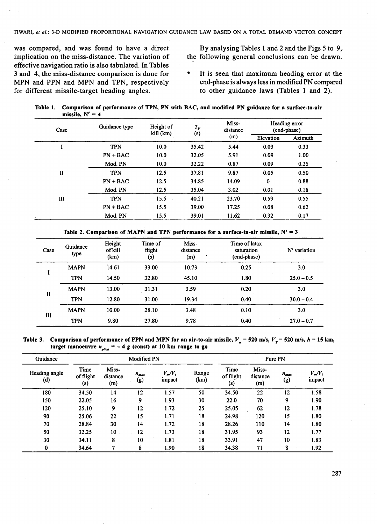TIWARI, **el** *al.:* 3-D MODIFIED PROPORTIONAL NAVIGATION GUIDANCE LAW BASED ON A TOTAL DEMAND VECTOR CONCEPT

was compared, and was found to have a direct By analysing Tables 1 and 2 and the Figs 5 to 9, implication on the miss-distance. The variation of the following general conclusions can be drawn. effective navigation ratio is also tabulated. In Tables 3 and 4, the miss-distance comparison is done for <br>MPN and PPN and MPN and TPN, respectively end-phase is always less in modified PN compared MPN and PPN and MPN and TPN, respectively end-phase is always less in modified PN compared for different missile-target heading angles.<br>
to other guidance laws (Tables 1 and 2). for different missile-target heading angles.

the following general conclusions can be drawn.

Table **1.** Comparison of performance of TPN, PN with BAC, and modified PN guidance for a surface-to-air missile,  $N' = 4$ 

| Case           | Guidance type | Height of<br>kill (km) | $T_F\;$<br>(s) | Miss-<br>distance | Heading error<br>(end-phase)                                                  |         |
|----------------|---------------|------------------------|----------------|-------------------|-------------------------------------------------------------------------------|---------|
|                |               |                        |                | (m)               | Elevation<br>0.03<br>0.09<br>0.09<br>0.05<br>$\bf{0}$<br>0.01<br>0.59<br>0.08 | Azimuth |
|                | <b>TPN</b>    | 10.0                   | 35.42          | 5.44              |                                                                               | 0.33    |
|                | $PN + BAC$    | 10.0                   | 32.05          | 5.91              |                                                                               | 1.00    |
|                | Mod. PN       | 10.0                   | 32.22          | 0.87              |                                                                               | 0.25    |
| $\mathbf{I}$   | <b>TPN</b>    | 12.5                   | 37.81          | 9.87              |                                                                               | 0.50    |
|                | $PN + BAC$    | 12.5                   | 34.85          | 14.09             |                                                                               | 0.88    |
|                | Mod. PN       | 12.5                   | 35.04          | 3.02              |                                                                               | 0.18    |
| $\mathbf{III}$ | <b>TPN</b>    | 15.5                   | 40.21          | 23.70             |                                                                               | 0.55    |
|                | $PN + BAC$    | 15.5                   | 39.00          | 17.25             |                                                                               | 0.62    |
|                | Mod. PN       | 15.5                   | 39.01          | 11.62             | 0.32                                                                          | 0.17    |

Table 2. Comparison of MAPN and TPN performance for a surface-to-air missile,  $N' = 3$ 

| Case         | Guidance<br>type | Height<br>of kill<br>(km) | Time of<br>flight<br>(s) | Miss-<br>distance<br>(m) | Time of latax<br>saturation<br>(end-phase) | N' variation |
|--------------|------------------|---------------------------|--------------------------|--------------------------|--------------------------------------------|--------------|
|              | <b>MAPN</b>      | 14.61                     | 33.00                    | 10.73                    | 0.25                                       | 3.0          |
|              | <b>TPN</b>       | 14.50                     | 32.80                    | 45.10                    | 1.80                                       | $25.0 - 0.5$ |
|              | <b>MAPN</b>      | 13.00                     | 31.31                    | 3.59                     | 0.20                                       | 3.0          |
| $\mathbf{I}$ | <b>TPN</b>       | 12.80                     | 31.00                    | 19.34                    | 0.40                                       | $30.0 - 0.4$ |
| III          | <b>MAPN</b>      | 10.00                     | 28.10                    | 3.48                     | 0.10                                       | 3.0          |
|              | <b>TPN</b>       | 9.80                      | 27.80                    | 9.78                     | 0.40                                       | $27.0 - 0.7$ |

Table 3. Comparison of performance of PPN and MPN for an air-to-air missile,  $V_m = 520$  m/s,  $V_r = 520$  m/s,  $h = 15$  km, target manoeuvre  $n_{\text{site}} = -4$  g (const) at 10 km range to go

| Guidance             | Modified PN              |                          |                  |                     |               | Pure PN                  |                          |                  |                     |
|----------------------|--------------------------|--------------------------|------------------|---------------------|---------------|--------------------------|--------------------------|------------------|---------------------|
| Heading angle<br>(d) | Time<br>of flight<br>(s) | Miss-<br>distance<br>(m) | $n_{max}$<br>(g) | $V_m/V_i$<br>impact | Range<br>(km) | Time<br>of flight<br>(s) | Miss-<br>distance<br>(m) | $n_{max}$<br>(g) | $V_m/V_i$<br>impact |
| 180                  | 34.50                    | 14                       | 12               | 1.57                | 50            | 34.50                    | 22                       | 12               | 1.58                |
| 150                  | 22.05                    | 16                       | 9                | 1.93                | 30            | 22.0                     | 70                       | 9                | 1.90                |
| 120                  | 25.10                    | 9                        | 12               | 1.72                | 25            | 25.05                    | 62                       | 12               | 1.78                |
| 90                   | 25.06                    | 22                       | 15               | 1.71                | 18            | 24.98                    | 120                      | 15               | 1.80                |
| 70                   | 28.84                    | 30                       | 14               | 1.72                | 18            | 28.26                    | 110                      | 14               | 1.80                |
| 50                   | 32.25                    | 10                       | 12               | 1.73                | 18            | 31.95                    | 93                       | 12               | 1.77                |
| 30                   | 34.11                    | 8                        | 10               | 1.81                | 18            | 33.91                    | 47                       | 10               | 1.83                |
| $\bf{0}$             | 34.64                    | 7                        | 8                | 1.90                | 18            | 34.38                    | 71                       | 8                | 1.92                |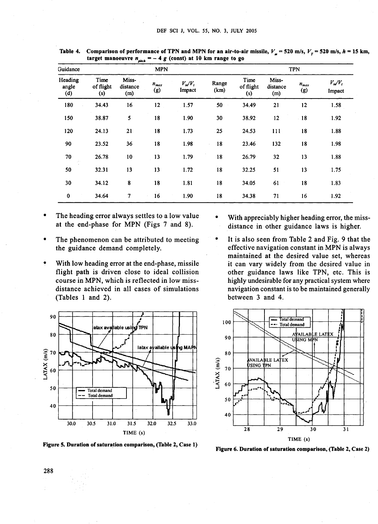| Guidance                |                          |                          |                  | <b>TPN</b>          |               |                          |                          |                  |                     |
|-------------------------|--------------------------|--------------------------|------------------|---------------------|---------------|--------------------------|--------------------------|------------------|---------------------|
| Heading<br>angle<br>(d) | Time<br>of flight<br>(s) | Miss-<br>distance<br>(m) | $n_{max}$<br>(g) | $V_m/V_i$<br>Impact | Range<br>(km) | Time<br>of flight<br>(s) | Miss-<br>distance<br>(m) | $n_{max}$<br>(g) | $V_m/V_t$<br>Impact |
| 180                     | 34.43                    | 16                       | 12               | 1.57                | 50            | 34.49                    | 21                       | $12 \,$          | 1.58                |
| 150                     | 38.87                    | 5                        | 18               | 1.90                | 30            | 38.92                    | 12                       | 18<br>ć.         | 1.92                |
| 120                     | 24.13                    | 21                       | 18               | 1.73                | 25            | 24.53                    | 111                      | 18               | 1.88                |
| 90                      | 23.52                    | 36                       | 18               | 1.98                | 18            | 23.46                    | 132                      | 18               | 1.98                |
| 70<br>j.                | 26.78                    | 10                       | 13               | 1.79                | 18            | 26.79                    | 32                       | 13               | 1.88                |
| 50                      | 32.31                    | 13                       | 13               | 1.72                | 18            | 32.25                    | 51                       | 13               | 1.75                |
| 30                      | 34.12                    | 8                        | 18               | 1.81                | 18            | 34.05                    | 61                       | 18               | 1.83                |
| $\bf{0}$                | 34.64                    | $\overline{7}$           | 16               | 1.90                | 18            | 34.38                    | 71                       | 16               | 1.92                |

Table 4. Comparison of performance of TPN and MPN for an air-to-air missile,  $V_{-}$  = 520 m/s,  $V_{-}$  = 520 m/s,  $h$  = 15 km, target manoeuvre  $n_{min} = -4 g$  (const) at 10 km range to go

- The heading error always settles to a low value at the end-phase for MPN (Figs 7 and 8).
- The phenomenon can be attributed to meeting the guidance demand completely.
- With low heading error at the end-phase, missile flight path is driven close to ideal collision course in MPN, which is reflected in low missdistance achieved in all cases of simulations (Tables 1 and 2).



Figure 5. Duration of saturation comparison, (Table 2, Case 1) Figure 6. Duration of saturation comparison, (Table 2, Case 2)

- With appreciably higher heading error, the missdistance in other guidance laws is higher.
- It is also seen from Table 2 and Fig. 9 that the effective navigation constant in MPN is always maintained at the desired value set, whereas it can vary widely from the desired value in other guidance laws like TPN, etc. This is highly undesirable for any practical system where navigation constant is to be maintained generally between 3 and 4.

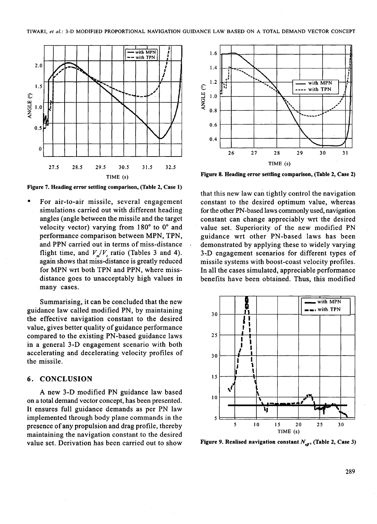

**Figure 7. Heading error settling comparison, (Table 2, Case 1)** 

For air-to-air missile, several engagement simulations carried out with different heading angles (angle between the missile and the target velocity vector) varying from 180° to 0° and performance comparison between MPN, TPN, and PPN carried out in terms of miss-distance flight time, and  $V_{m}/V_{r}$  ratio (Tables 3 and 4). again shows that miss-distance is greatly reduced for MPN wrt both TPN and PPN, where missdistance goes to unacceptably high values in many cases.

Summarising, it can be concluded that the new guidance law called modified PN, by maintaining the effective navigation constant to the desired value, gives better quality of guidance performance compared to the existing PN-based guidance laws in a general 3-D engagement scenario with both accelerating and decelerating velocity profiles of the missile.

#### **6. CONCLUSION**

A new 3-D modified PN guidance law based on a total demand vector concept, has been presented. It ensures full guidance demands as per PN law implemented through body plane commands in the presence of any propulsion and drag profile, thereby maintaining the navigation constant to the desired value set. Derivation has been carried out to show



**Figure 8. Heading error settling comparison, (Table** 2, **Case** 2)

that this new law can tightly control the navigation constant to the desired optimum value, whereas for the other PN-based laws commonly used, navigation constant can change appreciably wrt the desired value set. Superiority of the new modified PN guidance wrt other PN-based laws has been demonstrated by applying these to widely varying 3-.D engagement scenarios for different types of missile systems with boost-coast velocity profiles. In all the cases simulated, appreciable performance benefits have been obtained. Thus, this modified



**Figure 9. Realised navigation constant**  $N_{\epsilon n}$ **, (Table 2, Case 3)**